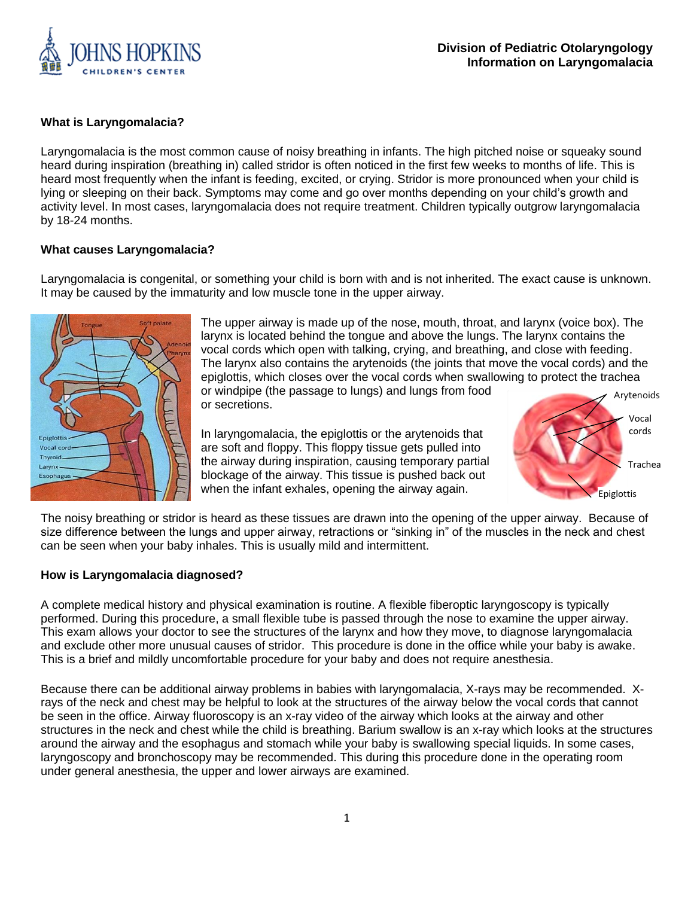

### **What is Laryngomalacia?**

Laryngomalacia is the most common cause of noisy breathing in infants. The high pitched noise or squeaky sound heard during inspiration (breathing in) called stridor is often noticed in the first few weeks to months of life. This is heard most frequently when the infant is feeding, excited, or crying. Stridor is more pronounced when your child is lying or sleeping on their back. Symptoms may come and go over months depending on your child's growth and activity level. In most cases, laryngomalacia does not require treatment. Children typically outgrow laryngomalacia by 18-24 months.

#### **What causes Laryngomalacia?**

Laryngomalacia is congenital, or something your child is born with and is not inherited. The exact cause is unknown. It may be caused by the immaturity and low muscle tone in the upper airway.



The upper airway is made up of the nose, mouth, throat, and larynx (voice box). The larynx is located behind the tongue and above the lungs. The larynx contains the vocal cords which open with talking, crying, and breathing, and close with feeding. The larynx also contains the arytenoids (the joints that move the vocal cords) and the epiglottis, which closes over the vocal cords when swallowing to protect the trachea or windpipe (the passage to lungs) and lungs from food Arytenoids

or secretions.

In laryngomalacia, the epiglottis or the arytenoids that are soft and floppy. This floppy tissue gets pulled into the airway during inspiration, causing temporary partial blockage of the airway. This tissue is pushed back out when the infant exhales, opening the airway again.



The noisy breathing or stridor is heard as these tissues are drawn into the opening of the upper airway. Because of size difference between the lungs and upper airway, retractions or "sinking in" of the muscles in the neck and chest can be seen when your baby inhales. This is usually mild and intermittent.

#### **How is Laryngomalacia diagnosed?**

A complete medical history and physical examination is routine. A flexible fiberoptic laryngoscopy is typically performed. During this procedure, a small flexible tube is passed through the nose to examine the upper airway. This exam allows your doctor to see the structures of the larynx and how they move, to diagnose laryngomalacia and exclude other more unusual causes of stridor. This procedure is done in the office while your baby is awake. This is a brief and mildly uncomfortable procedure for your baby and does not require anesthesia.

Because there can be additional airway problems in babies with laryngomalacia, X-rays may be recommended. Xrays of the neck and chest may be helpful to look at the structures of the airway below the vocal cords that cannot be seen in the office. Airway fluoroscopy is an x-ray video of the airway which looks at the airway and other structures in the neck and chest while the child is breathing. Barium swallow is an x-ray which looks at the structures around the airway and the esophagus and stomach while your baby is swallowing special liquids. In some cases, laryngoscopy and bronchoscopy may be recommended. This during this procedure done in the operating room under general anesthesia, the upper and lower airways are examined.